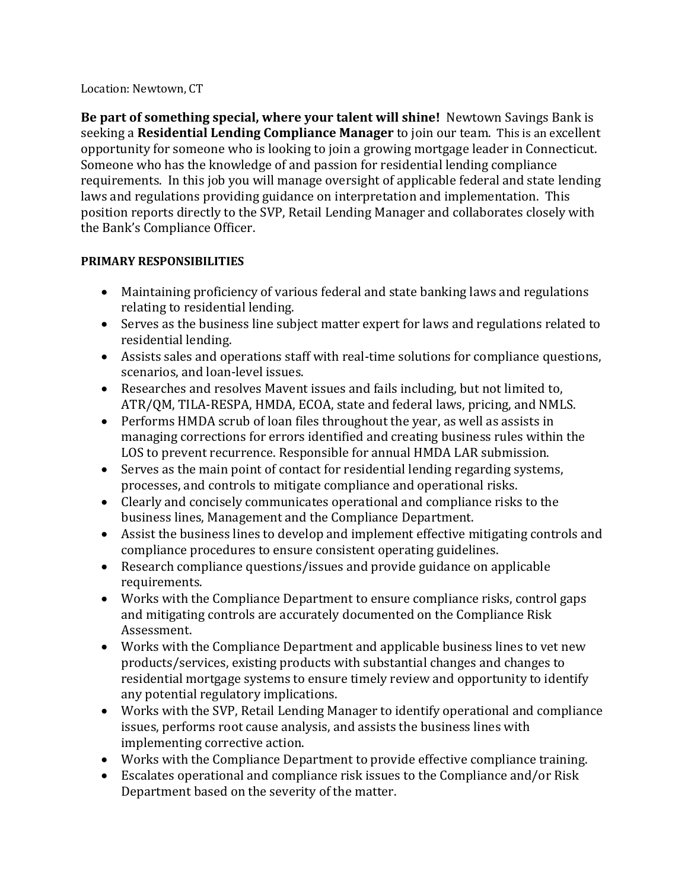#### Location: Newtown, CT

**Be part of something special, where your talent will shine!** Newtown Savings Bank is seeking a **Residential Lending Compliance Manager** to join our team. This is an excellent opportunity for someone who is looking to join a growing mortgage leader in Connecticut. Someone who has the knowledge of and passion for residential lending compliance requirements. In this job you will manage oversight of applicable federal and state lending laws and regulations providing guidance on interpretation and implementation. This position reports directly to the SVP, Retail Lending Manager and collaborates closely with the Bank's Compliance Officer.

# **PRIMARY RESPONSIBILITIES**

- Maintaining proficiency of various federal and state banking laws and regulations relating to residential lending.
- Serves as the business line subject matter expert for laws and regulations related to residential lending.
- Assists sales and operations staff with real-time solutions for compliance questions, scenarios, and loan-level issues.
- Researches and resolves Mavent issues and fails including, but not limited to, ATR/QM, TILA-RESPA, HMDA, ECOA, state and federal laws, pricing, and NMLS.
- Performs HMDA scrub of loan files throughout the year, as well as assists in managing corrections for errors identified and creating business rules within the LOS to prevent recurrence. Responsible for annual HMDA LAR submission.
- Serves as the main point of contact for residential lending regarding systems, processes, and controls to mitigate compliance and operational risks.
- Clearly and concisely communicates operational and compliance risks to the business lines, Management and the Compliance Department.
- Assist the business lines to develop and implement effective mitigating controls and compliance procedures to ensure consistent operating guidelines.
- Research compliance questions/issues and provide guidance on applicable requirements.
- Works with the Compliance Department to ensure compliance risks, control gaps and mitigating controls are accurately documented on the Compliance Risk Assessment.
- Works with the Compliance Department and applicable business lines to vet new products/services, existing products with substantial changes and changes to residential mortgage systems to ensure timely review and opportunity to identify any potential regulatory implications.
- Works with the SVP, Retail Lending Manager to identify operational and compliance issues, performs root cause analysis, and assists the business lines with implementing corrective action.
- Works with the Compliance Department to provide effective compliance training.
- Escalates operational and compliance risk issues to the Compliance and/or Risk Department based on the severity of the matter.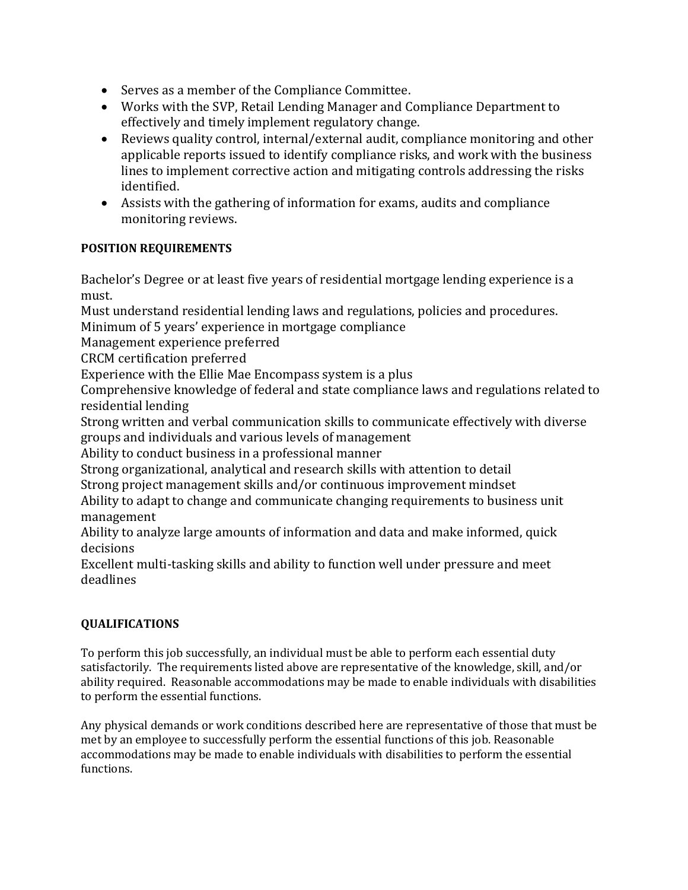- Serves as a member of the Compliance Committee.
- Works with the SVP, Retail Lending Manager and Compliance Department to effectively and timely implement regulatory change.
- Reviews quality control, internal/external audit, compliance monitoring and other applicable reports issued to identify compliance risks, and work with the business lines to implement corrective action and mitigating controls addressing the risks identified.
- Assists with the gathering of information for exams, audits and compliance monitoring reviews.

# **POSITION REQUIREMENTS**

Bachelor's Degree or at least five years of residential mortgage lending experience is a must.

Must understand residential lending laws and regulations, policies and procedures.

Minimum of 5 years' experience in mortgage compliance

Management experience preferred

CRCM certification preferred

Experience with the Ellie Mae Encompass system is a plus

Comprehensive knowledge of federal and state compliance laws and regulations related to residential lending

Strong written and verbal communication skills to communicate effectively with diverse groups and individuals and various levels of management

Ability to conduct business in a professional manner

Strong organizational, analytical and research skills with attention to detail

Strong project management skills and/or continuous improvement mindset

Ability to adapt to change and communicate changing requirements to business unit management

Ability to analyze large amounts of information and data and make informed, quick decisions

Excellent multi-tasking skills and ability to function well under pressure and meet deadlines

# **QUALIFICATIONS**

To perform this job successfully, an individual must be able to perform each essential duty satisfactorily. The requirements listed above are representative of the knowledge, skill, and/or ability required. Reasonable accommodations may be made to enable individuals with disabilities to perform the essential functions.

Any physical demands or work conditions described here are representative of those that must be met by an employee to successfully perform the essential functions of this job. Reasonable accommodations may be made to enable individuals with disabilities to perform the essential functions.